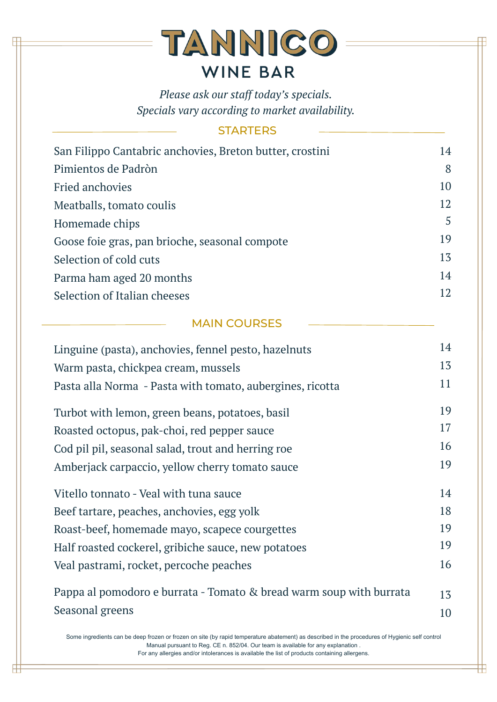| San Filippo Cantabric anchovies, Breton butter, crostini | 14 |
|----------------------------------------------------------|----|
| Pimientos de Padròn                                      | 8  |
| <b>Fried anchovies</b>                                   | 10 |
| Meatballs, tomato coulis                                 | 12 |
| Homemade chips                                           | 5  |
| Goose foie gras, pan brioche, seasonal compote           | 19 |
| Selection of cold cuts                                   | 13 |
| Parma ham aged 20 months                                 | 14 |
| Selection of Italian cheeses                             | 12 |
|                                                          |    |

| Linguine (pasta), anchovies, fennel pesto, hazelnuts                                                                                                                                                                                                                                                                                | 14 |
|-------------------------------------------------------------------------------------------------------------------------------------------------------------------------------------------------------------------------------------------------------------------------------------------------------------------------------------|----|
| Warm pasta, chickpea cream, mussels                                                                                                                                                                                                                                                                                                 | 13 |
| Pasta alla Norma - Pasta with tomato, aubergines, ricotta                                                                                                                                                                                                                                                                           | 11 |
| Turbot with lemon, green beans, potatoes, basil                                                                                                                                                                                                                                                                                     | 19 |
| Roasted octopus, pak-choi, red pepper sauce                                                                                                                                                                                                                                                                                         | 17 |
| Cod pil pil, seasonal salad, trout and herring roe                                                                                                                                                                                                                                                                                  | 16 |
| Amberjack carpaccio, yellow cherry tomato sauce                                                                                                                                                                                                                                                                                     | 19 |
| Vitello tonnato - Veal with tuna sauce                                                                                                                                                                                                                                                                                              | 14 |
| Beef tartare, peaches, anchovies, egg yolk                                                                                                                                                                                                                                                                                          | 18 |
| Roast-beef, homemade mayo, scapece courgettes                                                                                                                                                                                                                                                                                       | 19 |
| Half roasted cockerel, gribiche sauce, new potatoes                                                                                                                                                                                                                                                                                 | 19 |
| Veal pastrami, rocket, percoche peaches                                                                                                                                                                                                                                                                                             | 16 |
| Pappa al pomodoro e burrata - Tomato & bread warm soup with burrata                                                                                                                                                                                                                                                                 | 13 |
| Seasonal greens                                                                                                                                                                                                                                                                                                                     | 10 |
| Some ingredients can be deep frozen or frozen on site (by rapid temperature abatement) as described in the procedures of Hygienic self control<br>Manual pursuant to Reg. CE n. 852/04. Our team is available for any explanation.<br>For any allergies and/or intolerances is available the list of products containing allergens. |    |

╫

## TANNICO **WINE BAR**

*Please ask our staff today's specials. Specials vary according to market availability.*

## **STARTERS**

## MAIN COURSES